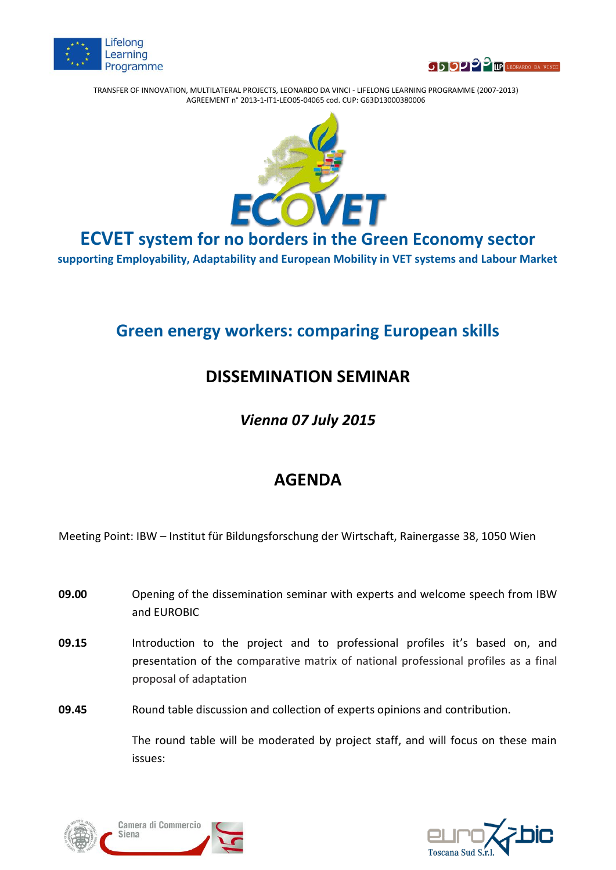



TRANSFER OF INNOVATION, MULTILATERAL PROJECTS, LEONARDO DA VINCI - LIFELONG LEARNING PROGRAMME (2007-2013) AGREEMENT n° 2013-1-IT1-LEO05-04065 cod. CUP: G63D13000380006



**ECVET system for no borders in the Green Economy sector**

**supporting Employability, Adaptability and European Mobility in VET systems and Labour Market**

## **Green energy workers: comparing European skills**

## **DISSEMINATION SEMINAR**

*Vienna 07 July 2015*

## **AGENDA**

Meeting Point: IBW – Institut für Bildungsforschung der Wirtschaft, Rainergasse 38, 1050 Wien

- **09.00 Opening of the dissemination seminar with experts and welcome speech from IBW** and EUROBIC
- **09.15** Introduction to the project and to professional profiles it's based on, and presentation of the comparative matrix of national professional profiles as a final proposal of adaptation
- **09.45** Round table discussion and collection of experts opinions and contribution.

The round table will be moderated by project staff, and will focus on these main issues: